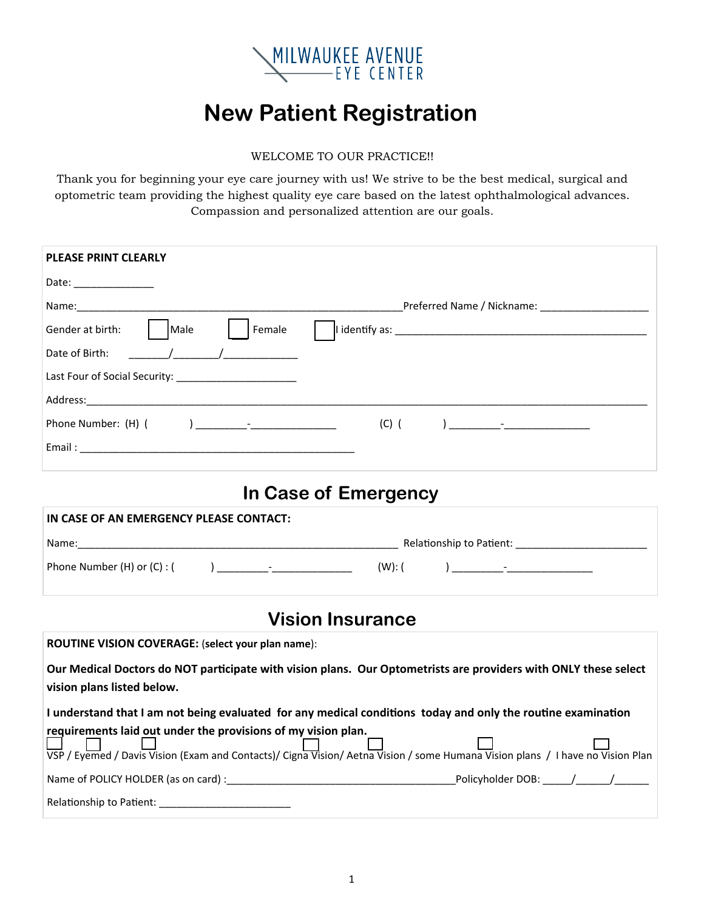

# **New Patient Registration**

#### WELCOME TO OUR PRACTICE!!

Thank you for beginning your eye care journey with us! We strive to be the best medical, surgical and optometric team providing the highest quality eye care based on the latest ophthalmological advances. Compassion and personalized attention are our goals.

| <b>PLEASE PRINT CLEARLY</b>                                                                                                                                                                                                                                                                                                                         |
|-----------------------------------------------------------------------------------------------------------------------------------------------------------------------------------------------------------------------------------------------------------------------------------------------------------------------------------------------------|
| Date: _______________                                                                                                                                                                                                                                                                                                                               |
| Name: with a state of the contract of the contract of the contract of the contract of the contract of the contract of the contract of the contract of the contract of the contract of the contract of the contract of the cont                                                                                                                      |
| Female<br>Gender at birth:<br>  Male                                                                                                                                                                                                                                                                                                                |
| $\frac{1}{2}$ $\frac{1}{2}$ $\frac{1}{2}$ $\frac{1}{2}$ $\frac{1}{2}$ $\frac{1}{2}$ $\frac{1}{2}$ $\frac{1}{2}$ $\frac{1}{2}$ $\frac{1}{2}$ $\frac{1}{2}$ $\frac{1}{2}$ $\frac{1}{2}$ $\frac{1}{2}$ $\frac{1}{2}$ $\frac{1}{2}$ $\frac{1}{2}$ $\frac{1}{2}$ $\frac{1}{2}$ $\frac{1}{2}$ $\frac{1}{2}$ $\frac{1}{2}$<br>Date of Birth:               |
|                                                                                                                                                                                                                                                                                                                                                     |
|                                                                                                                                                                                                                                                                                                                                                     |
|                                                                                                                                                                                                                                                                                                                                                     |
|                                                                                                                                                                                                                                                                                                                                                     |
|                                                                                                                                                                                                                                                                                                                                                     |
| In Case of Emergency                                                                                                                                                                                                                                                                                                                                |
| IN CASE OF AN EMERGENCY PLEASE CONTACT:                                                                                                                                                                                                                                                                                                             |
|                                                                                                                                                                                                                                                                                                                                                     |
| $\begin{picture}(100,10) \put(0,0){\line(1,0){10}} \put(10,0){\line(1,0){10}} \put(10,0){\line(1,0){10}} \put(10,0){\line(1,0){10}} \put(10,0){\line(1,0){10}} \put(10,0){\line(1,0){10}} \put(10,0){\line(1,0){10}} \put(10,0){\line(1,0){10}} \put(10,0){\line(1,0){10}} \put(10,0){\line(1,0){10}} \put(10,0){\line(1,0){10}} \put(10,0){\line($ |
| <b>Vision Insurance</b>                                                                                                                                                                                                                                                                                                                             |
| ROUTINE VISION COVERAGE: (select your plan name):                                                                                                                                                                                                                                                                                                   |
|                                                                                                                                                                                                                                                                                                                                                     |
| Our Medical Doctors do NOT participate with vision plans. Our Optometrists are providers with ONLY these select<br>vision plans listed below.                                                                                                                                                                                                       |
| I understand that I am not being evaluated for any medical conditions today and only the routine examination                                                                                                                                                                                                                                        |
| requirements laid out under the provisions of my vision plan.                                                                                                                                                                                                                                                                                       |
| VSP / Everned / Davis Vision (Exam and Contacts)/ Cigna Vision/ Aetna Vision / some Humana Vision plans / I have no Vision Plan                                                                                                                                                                                                                     |
|                                                                                                                                                                                                                                                                                                                                                     |
|                                                                                                                                                                                                                                                                                                                                                     |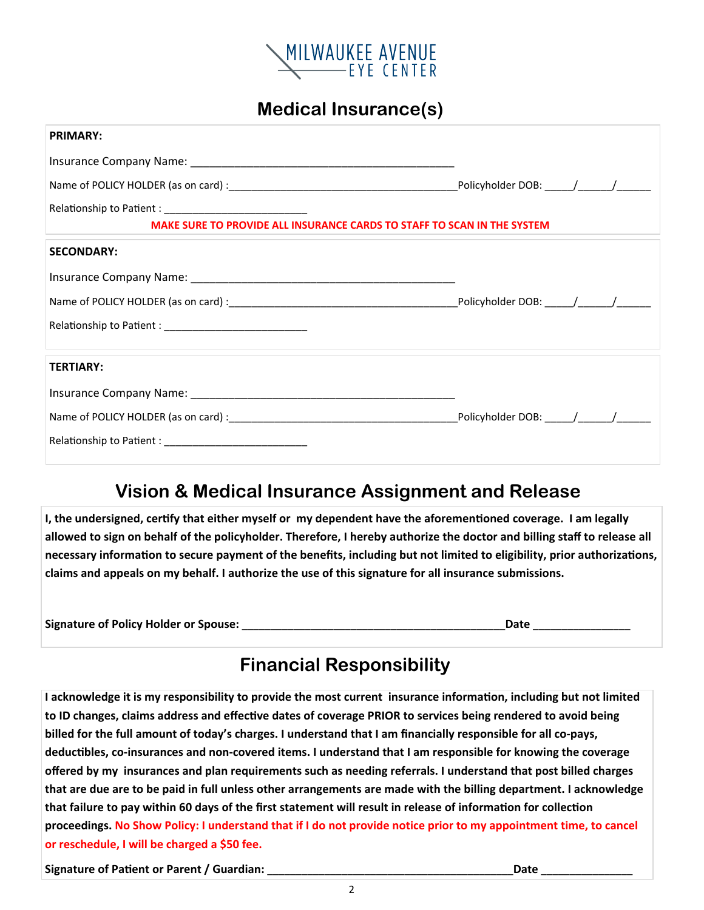

#### **Medical Insurance(s)**

| <b>PRIMARY:</b>                                                         |  |  |
|-------------------------------------------------------------------------|--|--|
|                                                                         |  |  |
|                                                                         |  |  |
|                                                                         |  |  |
| MAKE SURE TO PROVIDE ALL INSURANCE CARDS TO STAFF TO SCAN IN THE SYSTEM |  |  |
| <b>SECONDARY:</b>                                                       |  |  |
|                                                                         |  |  |
|                                                                         |  |  |
|                                                                         |  |  |
|                                                                         |  |  |
| <b>TERTIARY:</b>                                                        |  |  |
|                                                                         |  |  |
|                                                                         |  |  |
|                                                                         |  |  |
|                                                                         |  |  |

#### **Vision & Medical Insurance Assignment and Release**

**I**, the undersigned, certify that either myself or my dependent have the aforementioned coverage. I am legally **allowed to sign on behalf of the policyholder. Therefore, I hereby authorize the doctor and billing staff to release all necessary informaƟon to secure payment of the benefits, including but not limited to eligibility, prior authorizaƟons, claims and appeals on my behalf. I authorize the use of this signature for all insurance submissions.** 

**Signature of Policy Holder or Spouse:** \_\_\_\_\_\_\_\_\_\_\_\_\_\_\_\_\_\_\_\_\_\_\_\_\_\_\_\_\_\_\_\_\_\_\_\_\_\_\_\_\_\_\_\_\_\_**Date** \_\_\_\_\_\_\_\_\_\_\_\_\_\_\_\_\_

# **Financial Responsibility**

**I acknowledge it is my responsibility to provide the most current insurance informaƟon, including but not limited**  to ID changes, claims address and effective dates of coverage PRIOR to services being rendered to avoid being **billed for the full amount of today's charges. I understand that I am financially responsible for all co‐pays, deducƟbles, co‐insurances and non‐covered items. I understand that I am responsible for knowing the coverage offered by my insurances and plan requirements such as needing referrals. I understand that post billed charges that are due are to be paid in full unless other arrangements are made with the billing department. I acknowledge that failure to pay within 60 days of the first statement will result in release of information for collection proceedings. No Show Policy: I understand that if I do not provide notice prior to my appointment time, to cancel or reschedule, I will be charged a \$50 fee.** 

Signature of Patient or Parent / Guardian: **Lateration of Parising Carolina and Carolina and Carolina and Carolin**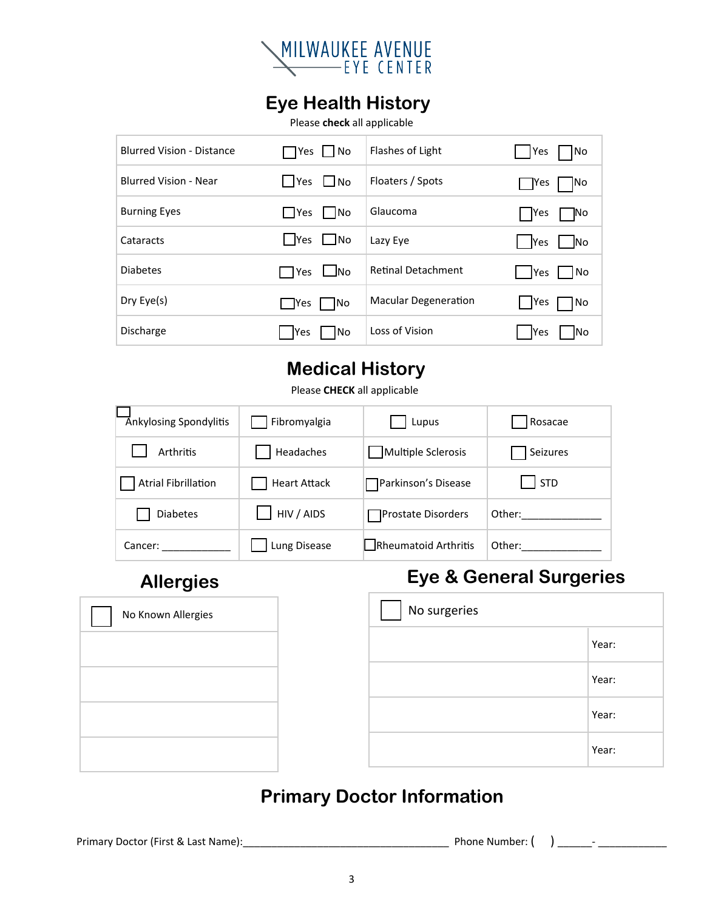

### **Eye Health History**

Please check all applicable

| <b>Blurred Vision - Distance</b> | □Yes    No                           | Flashes of Light            | l Yes<br> No             |
|----------------------------------|--------------------------------------|-----------------------------|--------------------------|
| <b>Blurred Vision - Near</b>     | $\blacksquare$ Yes $\blacksquare$ No | Floaters / Spots            | ∏ Yes<br>INo             |
| <b>Burning Eyes</b>              | <b>Nes</b><br>$\vert$ $\vert$ No     | Glaucoma                    | │ Yes<br>JΝο             |
| Cataracts                        | Yes ∟No                              | Lazy Eye                    | <b>Yes</b><br><b>INo</b> |
| <b>Diabetes</b>                  | ]Yes ∟No                             | <b>Retinal Detachment</b>   | <b>Yes</b><br>No         |
| Dry Eye(s)                       | <b>Nes</b><br> No                    | <b>Macular Degeneration</b> | Yes<br>No                |
| Discharge                        | <b>Yes</b><br>1No                    | Loss of Vision              | <b>Yes</b><br>INo        |

#### **Medical History**

Please CHECK all applicable

| Ankylosing Spondylitis     | Fibromyalgia        | Lupus                        | Rosacae     |
|----------------------------|---------------------|------------------------------|-------------|
| Arthritis                  | Headaches           | Multiple Sclerosis           | Seizures    |
| <b>Atrial Fibrillation</b> | <b>Heart Attack</b> | <b>□ Parkinson's Disease</b> | $\vert$ STD |
| <b>Diabetes</b>            | HIV / AIDS          | Prostate Disorders           | Other:      |
| Cancer:                    | Lung Disease        | Rheumatoid Arthritis         | Other:      |

## **Allergies**

# **Eye & General Surgeries**

| No Known Allergies | No surgeries |       |
|--------------------|--------------|-------|
|                    |              | Year: |
|                    |              | Year: |
|                    |              | Year: |
|                    |              | Year: |

## **Primary Doctor Information**

Primary Doctor (First & Last Name):